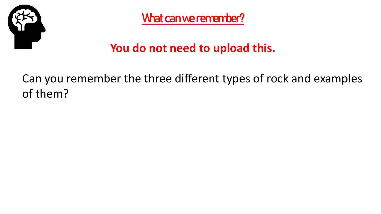

What can we remember?

### **You do not need to upload this.**

Can you remember the three different types of rock and examples of them?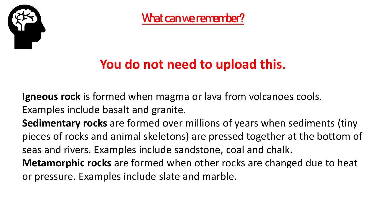

What can we remember?

## **You do not need to upload this.**

**Igneous rock** is formed when magma or lava from volcanoes cools. Examples include basalt and granite.

**Sedimentary rocks** are formed over millions of years when sediments (tiny pieces of rocks and animal skeletons) are pressed together at the bottom of seas and rivers. Examples include sandstone, coal and chalk.

**Metamorphic rocks** are formed when other rocks are changed due to heat or pressure. Examples include slate and marble.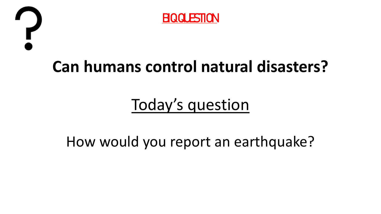



# **Can humans control natural disasters?**

# Today's question

How would you report an earthquake?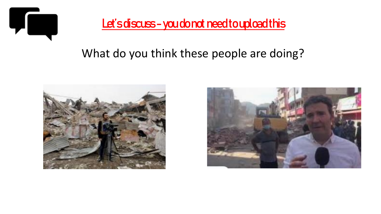

#### Let's discuss - you do not need to upload this

#### What do you think these people are doing?



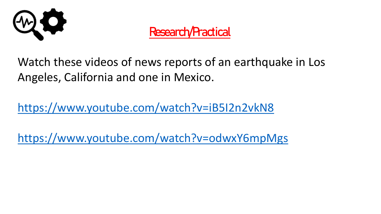

### Research/Practical

Watch these videos of news reports of an earthquake in Los Angeles, California and one in Mexico.

<https://www.youtube.com/watch?v=iB5I2n2vkN8>

<https://www.youtube.com/watch?v=odwxY6mpMgs>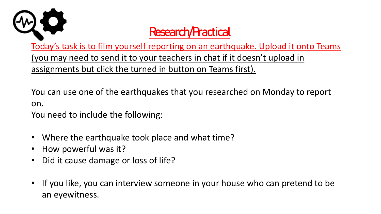

## Research/Practical

Today's task is to film yourself reporting on an earthquake. Upload it onto Teams (you may need to send it to your teachers in chat if it doesn't upload in assignments but click the turned in button on Teams first).

You can use one of the earthquakes that you researched on Monday to report on.

You need to include the following:

- Where the earthquake took place and what time?
- How powerful was it?
- Did it cause damage or loss of life?
- If you like, you can interview someone in your house who can pretend to be an eyewitness.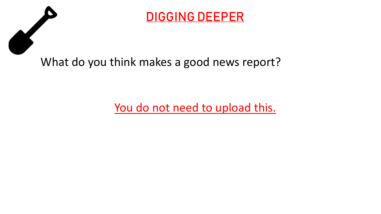



What do you think makes a good news report?

You do not need to upload this.